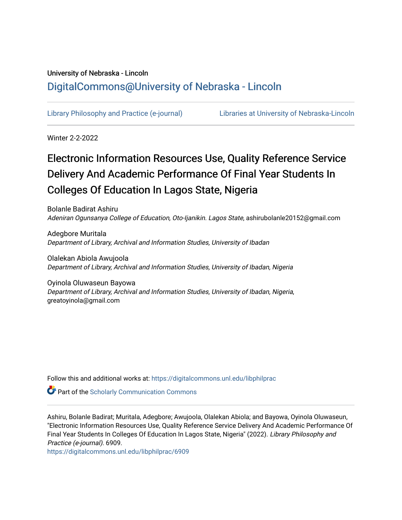## University of Nebraska - Lincoln [DigitalCommons@University of Nebraska - Lincoln](https://digitalcommons.unl.edu/)

[Library Philosophy and Practice \(e-journal\)](https://digitalcommons.unl.edu/libphilprac) [Libraries at University of Nebraska-Lincoln](https://digitalcommons.unl.edu/libraries) 

Winter 2-2-2022

# Electronic Information Resources Use, Quality Reference Service Delivery And Academic Performance Of Final Year Students In Colleges Of Education In Lagos State, Nigeria

Bolanle Badirat Ashiru Adeniran Ogunsanya College of Education, Oto-Ijanikin. Lagos State, ashirubolanle20152@gmail.com

Adegbore Muritala Department of Library, Archival and Information Studies, University of Ibadan

Olalekan Abiola Awujoola Department of Library, Archival and Information Studies, University of Ibadan, Nigeria

Oyinola Oluwaseun Bayowa Department of Library, Archival and Information Studies, University of Ibadan, Nigeria, greatoyinola@gmail.com

Follow this and additional works at: [https://digitalcommons.unl.edu/libphilprac](https://digitalcommons.unl.edu/libphilprac?utm_source=digitalcommons.unl.edu%2Flibphilprac%2F6909&utm_medium=PDF&utm_campaign=PDFCoverPages) 

**Part of the Scholarly Communication Commons** 

Ashiru, Bolanle Badirat; Muritala, Adegbore; Awujoola, Olalekan Abiola; and Bayowa, Oyinola Oluwaseun, "Electronic Information Resources Use, Quality Reference Service Delivery And Academic Performance Of Final Year Students In Colleges Of Education In Lagos State, Nigeria" (2022). Library Philosophy and Practice (e-journal). 6909.

[https://digitalcommons.unl.edu/libphilprac/6909](https://digitalcommons.unl.edu/libphilprac/6909?utm_source=digitalcommons.unl.edu%2Flibphilprac%2F6909&utm_medium=PDF&utm_campaign=PDFCoverPages)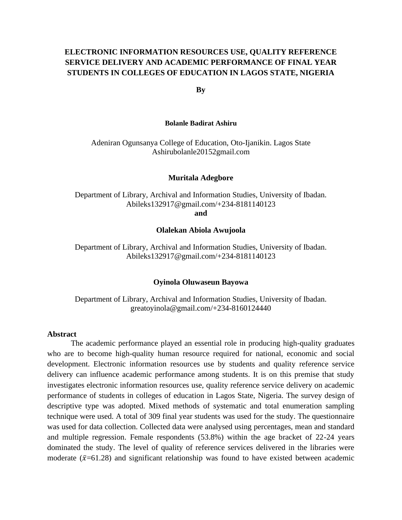### **ELECTRONIC INFORMATION RESOURCES USE, QUALITY REFERENCE SERVICE DELIVERY AND ACADEMIC PERFORMANCE OF FINAL YEAR STUDENTS IN COLLEGES OF EDUCATION IN LAGOS STATE, NIGERIA**

**By** 

#### **Bolanle Badirat Ashiru**

Adeniran Ogunsanya College of Education, Oto-Ijanikin. Lagos State Ashirubolanle20152gmail.com

#### **Muritala Adegbore**

Department of Library, Archival and Information Studies, University of Ibadan. Abileks132917@gmail.com/+234-8181140123

**and** 

#### **Olalekan Abiola Awujoola**

Department of Library, Archival and Information Studies, University of Ibadan. Abileks132917@gmail.com/+234-8181140123

#### **Oyinola Oluwaseun Bayowa**

Department of Library, Archival and Information Studies, University of Ibadan. greatoyinola@gmail.com/+234-8160124440

#### **Abstract**

The academic performance played an essential role in producing high-quality graduates who are to become high-quality human resource required for national, economic and social development. Electronic information resources use by students and quality reference service delivery can influence academic performance among students. It is on this premise that study investigates electronic information resources use, quality reference service delivery on academic performance of students in colleges of education in Lagos State, Nigeria. The survey design of descriptive type was adopted. Mixed methods of systematic and total enumeration sampling technique were used. A total of 309 final year students was used for the study. The questionnaire was used for data collection. Collected data were analysed using percentages, mean and standard and multiple regression. Female respondents (53.8%) within the age bracket of 22-24 years dominated the study. The level of quality of reference services delivered in the libraries were moderate  $(\bar{x}=61.28)$  and significant relationship was found to have existed between academic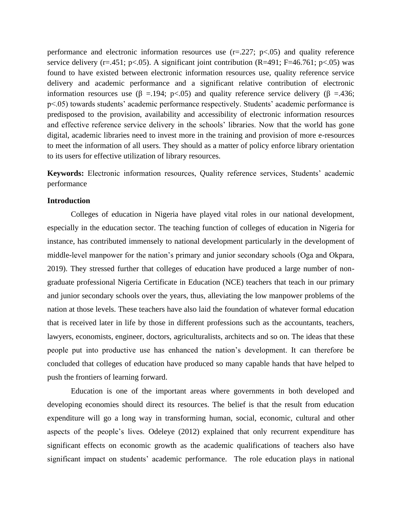performance and electronic information resources use  $(r=.227; p<.05)$  and quality reference service delivery (r=.451; p<.05). A significant joint contribution (R=491; F=46.761; p<.05) was found to have existed between electronic information resources use, quality reference service delivery and academic performance and a significant relative contribution of electronic information resources use (β =.194; p<.05) and quality reference service delivery (β =.436; p<.05) towards students' academic performance respectively. Students' academic performance is predisposed to the provision, availability and accessibility of electronic information resources and effective reference service delivery in the schools' libraries. Now that the world has gone digital, academic libraries need to invest more in the training and provision of more e-resources to meet the information of all users. They should as a matter of policy enforce library orientation to its users for effective utilization of library resources.

**Keywords:** Electronic information resources, Quality reference services, Students' academic performance

#### **Introduction**

Colleges of education in Nigeria have played vital roles in our national development, especially in the education sector. The teaching function of colleges of education in Nigeria for instance, has contributed immensely to national development particularly in the development of middle-level manpower for the nation's primary and junior secondary schools (Oga and Okpara, 2019). They stressed further that colleges of education have produced a large number of nongraduate professional Nigeria Certificate in Education (NCE) teachers that teach in our primary and junior secondary schools over the years, thus, alleviating the low manpower problems of the nation at those levels. These teachers have also laid the foundation of whatever formal education that is received later in life by those in different professions such as the accountants, teachers, lawyers, economists, engineer, doctors, agriculturalists, architects and so on. The ideas that these people put into productive use has enhanced the nation's development. It can therefore be concluded that colleges of education have produced so many capable hands that have helped to push the frontiers of learning forward.

Education is one of the important areas where governments in both developed and developing economies should direct its resources. The belief is that the result from education expenditure will go a long way in transforming human, social, economic, cultural and other aspects of the people's lives. Odeleye (2012) explained that only recurrent expenditure has significant effects on economic growth as the academic qualifications of teachers also have significant impact on students' academic performance. The role education plays in national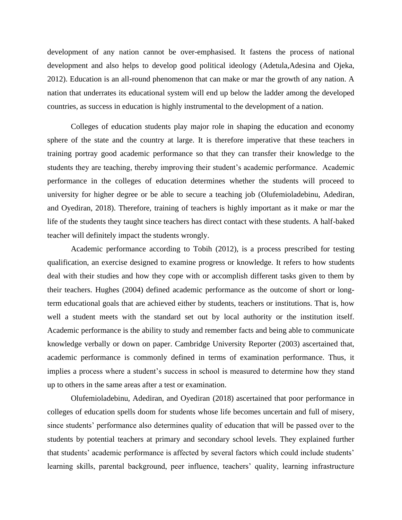development of any nation cannot be over-emphasised. It fastens the process of national development and also helps to develop good political ideology (Adetula,Adesina and Ojeka, 2012). Education is an all-round phenomenon that can make or mar the growth of any nation. A nation that underrates its educational system will end up below the ladder among the developed countries, as success in education is highly instrumental to the development of a nation.

Colleges of education students play major role in shaping the education and economy sphere of the state and the country at large. It is therefore imperative that these teachers in training portray good academic performance so that they can transfer their knowledge to the students they are teaching, thereby improving their student's academic performance. Academic performance in the colleges of education determines whether the students will proceed to university for higher degree or be able to secure a teaching job (Olufemioladebinu, Adediran, and Oyediran, 2018). Therefore, training of teachers is highly important as it make or mar the life of the students they taught since teachers has direct contact with these students. A half-baked teacher will definitely impact the students wrongly.

Academic performance according to Tobih (2012), is a process prescribed for testing qualification, an exercise designed to examine progress or knowledge. It refers to how students deal with their studies and how they cope with or accomplish different tasks given to them by their teachers. Hughes (2004) defined academic performance as the outcome of short or longterm educational goals that are achieved either by students, teachers or institutions. That is, how well a student meets with the standard set out by local authority or the institution itself. Academic performance is the ability to study and remember facts and being able to communicate knowledge verbally or down on paper. Cambridge University Reporter (2003) ascertained that, academic performance is commonly defined in terms of examination performance. Thus, it implies a process where a student's success in school is measured to determine how they stand up to others in the same areas after a test or examination.

Olufemioladebinu, Adediran, and Oyediran (2018) ascertained that poor performance in colleges of education spells doom for students whose life becomes uncertain and full of misery, since students' performance also determines quality of education that will be passed over to the students by potential teachers at primary and secondary school levels. They explained further that students' academic performance is affected by several factors which could include students' learning skills, parental background, peer influence, teachers' quality, learning infrastructure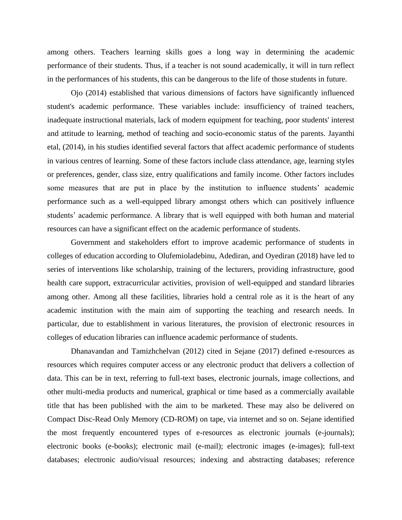among others. Teachers learning skills goes a long way in determining the academic performance of their students. Thus, if a teacher is not sound academically, it will in turn reflect in the performances of his students, this can be dangerous to the life of those students in future.

Ojo (2014) established that various dimensions of factors have significantly influenced student's academic performance. These variables include: insufficiency of trained teachers, inadequate instructional materials, lack of modern equipment for teaching, poor students' interest and attitude to learning, method of teaching and socio-economic status of the parents. Jayanthi etal, (2014), in his studies identified several factors that affect academic performance of students in various centres of learning. Some of these factors include class attendance, age, learning styles or preferences, gender, class size, entry qualifications and family income. Other factors includes some measures that are put in place by the institution to influence students' academic performance such as a well-equipped library amongst others which can positively influence students' academic performance. A library that is well equipped with both human and material resources can have a significant effect on the academic performance of students.

Government and stakeholders effort to improve academic performance of students in colleges of education according to Olufemioladebinu, Adediran, and Oyediran (2018) have led to series of interventions like scholarship, training of the lecturers, providing infrastructure, good health care support, extracurricular activities, provision of well-equipped and standard libraries among other. Among all these facilities, libraries hold a central role as it is the heart of any academic institution with the main aim of supporting the teaching and research needs. In particular, due to establishment in various literatures, the provision of electronic resources in colleges of education libraries can influence academic performance of students.

Dhanavandan and Tamizhchelvan (2012) cited in Sejane (2017) defined e-resources as resources which requires computer access or any electronic product that delivers a collection of data. This can be in text, referring to full-text bases, electronic journals, image collections, and other multi-media products and numerical, graphical or time based as a commercially available title that has been published with the aim to be marketed. These may also be delivered on Compact Disc-Read Only Memory (CD-ROM) on tape, via internet and so on. Sejane identified the most frequently encountered types of e-resources as electronic journals (e-journals); electronic books (e-books); electronic mail (e-mail); electronic images (e-images); full-text databases; electronic audio/visual resources; indexing and abstracting databases; reference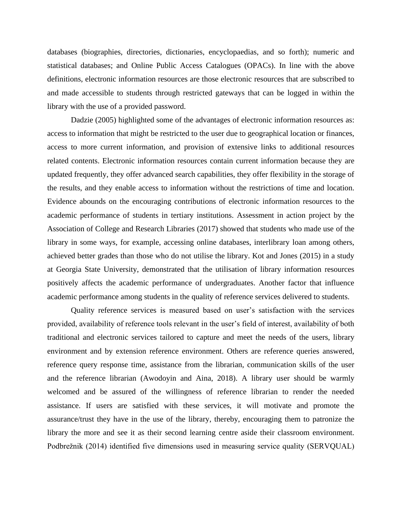databases (biographies, directories, dictionaries, encyclopaedias, and so forth); numeric and statistical databases; and Online Public Access Catalogues (OPACs). In line with the above definitions, electronic information resources are those electronic resources that are subscribed to and made accessible to students through restricted gateways that can be logged in within the library with the use of a provided password.

Dadzie (2005) highlighted some of the advantages of electronic information resources as: access to information that might be restricted to the user due to geographical location or finances, access to more current information, and provision of extensive links to additional resources related contents. Electronic information resources contain current information because they are updated frequently, they offer advanced search capabilities, they offer flexibility in the storage of the results, and they enable access to information without the restrictions of time and location. Evidence abounds on the encouraging contributions of electronic information resources to the academic performance of students in tertiary institutions. Assessment in action project by the Association of College and Research Libraries (2017) showed that students who made use of the library in some ways, for example, accessing online databases, interlibrary loan among others, achieved better grades than those who do not utilise the library. Kot and Jones (2015) in a study at Georgia State University, demonstrated that the utilisation of library information resources positively affects the academic performance of undergraduates. Another factor that influence academic performance among students in the quality of reference services delivered to students.

Quality reference services is measured based on user's satisfaction with the services provided, availability of reference tools relevant in the user's field of interest, availability of both traditional and electronic services tailored to capture and meet the needs of the users, library environment and by extension reference environment. Others are reference queries answered, reference query response time, assistance from the librarian, communication skills of the user and the reference librarian (Awodoyin and Aina, 2018). A library user should be warmly welcomed and be assured of the willingness of reference librarian to render the needed assistance. If users are satisfied with these services, it will motivate and promote the assurance/trust they have in the use of the library, thereby, encouraging them to patronize the library the more and see it as their second learning centre aside their classroom environment. Podbrežnik (2014) identified five dimensions used in measuring service quality (SERVQUAL)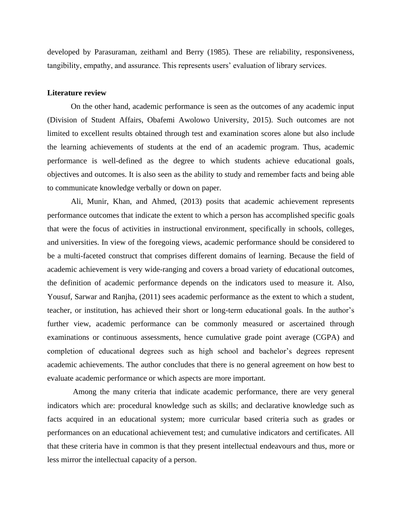developed by Parasuraman, zeithaml and Berry (1985). These are reliability, responsiveness, tangibility, empathy, and assurance. This represents users' evaluation of library services.

#### **Literature review**

On the other hand, academic performance is seen as the outcomes of any academic input (Division of Student Affairs, Obafemi Awolowo University, 2015). Such outcomes are not limited to excellent results obtained through test and examination scores alone but also include the learning achievements of students at the end of an academic program. Thus, academic performance is well-defined as the degree to which students achieve educational goals, objectives and outcomes. It is also seen as the ability to study and remember facts and being able to communicate knowledge verbally or down on paper.

Ali, Munir, Khan, and Ahmed, (2013) posits that academic achievement represents performance outcomes that indicate the extent to which a person has accomplished specific goals that were the focus of activities in instructional environment, specifically in schools, colleges, and universities. In view of the foregoing views, academic performance should be considered to be a multi-faceted construct that comprises different domains of learning. Because the field of academic achievement is very wide-ranging and covers a broad variety of educational outcomes, the definition of academic performance depends on the indicators used to measure it. Also, Yousuf, Sarwar and Ranjha, (2011) sees academic performance as the extent to which a student, teacher, or institution, has achieved their short or long-term educational goals. In the author's further view, academic performance can be commonly measured or ascertained through examinations or continuous assessments, hence cumulative grade point average (CGPA) and completion of educational degrees such as high school and bachelor's degrees represent academic achievements. The author concludes that there is no general agreement on how best to evaluate academic performance or which aspects are more important.

Among the many criteria that indicate academic performance, there are very general indicators which are: procedural knowledge such as skills; and declarative knowledge such as facts acquired in an educational system; more curricular based criteria such as grades or performances on an educational achievement test; and cumulative indicators and certificates. All that these criteria have in common is that they present intellectual endeavours and thus, more or less mirror the intellectual capacity of a person.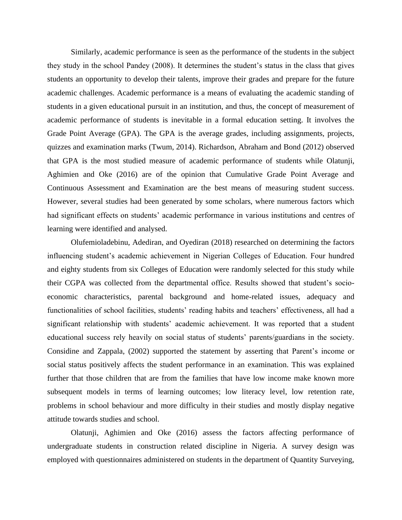Similarly, academic performance is seen as the performance of the students in the subject they study in the school Pandey (2008). It determines the student's status in the class that gives students an opportunity to develop their talents, improve their grades and prepare for the future academic challenges. Academic performance is a means of evaluating the academic standing of students in a given educational pursuit in an institution, and thus, the concept of measurement of academic performance of students is inevitable in a formal education setting. It involves the Grade Point Average (GPA). The GPA is the average grades, including assignments, projects, quizzes and examination marks (Twum, 2014). Richardson, Abraham and Bond (2012) observed that GPA is the most studied measure of academic performance of students while Olatunji, Aghimien and Oke (2016) are of the opinion that Cumulative Grade Point Average and Continuous Assessment and Examination are the best means of measuring student success. However, several studies had been generated by some scholars, where numerous factors which had significant effects on students' academic performance in various institutions and centres of learning were identified and analysed.

Olufemioladebinu, Adediran, and Oyediran (2018) researched on determining the factors influencing student's academic achievement in Nigerian Colleges of Education. Four hundred and eighty students from six Colleges of Education were randomly selected for this study while their CGPA was collected from the departmental office. Results showed that student's socioeconomic characteristics, parental background and home-related issues, adequacy and functionalities of school facilities, students' reading habits and teachers' effectiveness, all had a significant relationship with students' academic achievement. It was reported that a student educational success rely heavily on social status of students' parents/guardians in the society. Considine and Zappala, (2002) supported the statement by asserting that Parent's income or social status positively affects the student performance in an examination. This was explained further that those children that are from the families that have low income make known more subsequent models in terms of learning outcomes; low literacy level, low retention rate, problems in school behaviour and more difficulty in their studies and mostly display negative attitude towards studies and school.

Olatunji, Aghimien and Oke (2016) assess the factors affecting performance of undergraduate students in construction related discipline in Nigeria. A survey design was employed with questionnaires administered on students in the department of Quantity Surveying,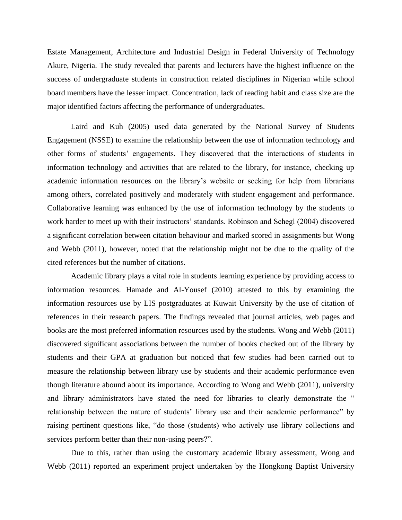Estate Management, Architecture and Industrial Design in Federal University of Technology Akure, Nigeria. The study revealed that parents and lecturers have the highest influence on the success of undergraduate students in construction related disciplines in Nigerian while school board members have the lesser impact. Concentration, lack of reading habit and class size are the major identified factors affecting the performance of undergraduates.

Laird and Kuh (2005) used data generated by the National Survey of Students Engagement (NSSE) to examine the relationship between the use of information technology and other forms of students' engagements. They discovered that the interactions of students in information technology and activities that are related to the library, for instance, checking up academic information resources on the library's website or seeking for help from librarians among others, correlated positively and moderately with student engagement and performance. Collaborative learning was enhanced by the use of information technology by the students to work harder to meet up with their instructors' standards. Robinson and Schegl (2004) discovered a significant correlation between citation behaviour and marked scored in assignments but Wong and Webb (2011), however, noted that the relationship might not be due to the quality of the cited references but the number of citations.

Academic library plays a vital role in students learning experience by providing access to information resources. Hamade and Al-Yousef (2010) attested to this by examining the information resources use by LIS postgraduates at Kuwait University by the use of citation of references in their research papers. The findings revealed that journal articles, web pages and books are the most preferred information resources used by the students. Wong and Webb (2011) discovered significant associations between the number of books checked out of the library by students and their GPA at graduation but noticed that few studies had been carried out to measure the relationship between library use by students and their academic performance even though literature abound about its importance. According to Wong and Webb (2011), university and library administrators have stated the need for libraries to clearly demonstrate the " relationship between the nature of students' library use and their academic performance" by raising pertinent questions like, "do those (students) who actively use library collections and services perform better than their non-using peers?".

Due to this, rather than using the customary academic library assessment, Wong and Webb (2011) reported an experiment project undertaken by the Hongkong Baptist University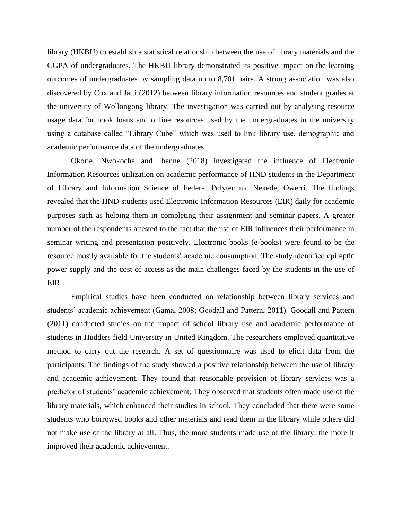library (HKBU) to establish a statistical relationship between the use of library materials and the CGPA of undergraduates. The HKBU library demonstrated its positive impact on the learning outcomes of undergraduates by sampling data up to 8,701 pairs. A strong association was also discovered by Cox and Jatti (2012) between library information resources and student grades at the university of Wollongong library. The investigation was carried out by analysing resource usage data for book loans and online resources used by the undergraduates in the university using a database called "Library Cube" which was used to link library use, demographic and academic performance data of the undergraduates.

Okorie, Nwokocha and Ibenne (2018) investigated the influence of Electronic Information Resources utilization on academic performance of HND students in the Department of Library and Information Science of Federal Polytechnic Nekede, Owerri. The findings revealed that the HND students used Electronic Information Resources (EIR) daily for academic purposes such as helping them in completing their assignment and seminar papers. A greater number of the respondents attested to the fact that the use of EIR influences their performance in seminar writing and presentation positively. Electronic books (e-books) were found to be the resource mostly available for the students' academic consumption. The study identified epileptic power supply and the cost of access as the main challenges faced by the students in the use of EIR.

Empirical studies have been conducted on relationship between library services and students' academic achievement (Gama, 2008; Goodall and Pattern, 2011). Goodall and Pattern (2011) conducted studies on the impact of school library use and academic performance of students in Hudders field University in United Kingdom. The researchers employed quantitative method to carry out the research. A set of questionnaire was used to elicit data from the participants. The findings of the study showed a positive relationship between the use of library and academic achievement. They found that reasonable provision of library services was a predictor of students' academic achievement. They observed that students often made use of the library materials, which enhanced their studies in school. They concluded that there were some students who borrowed books and other materials and read them in the library while others did not make use of the library at all. Thus, the more students made use of the library, the more it improved their academic achievement.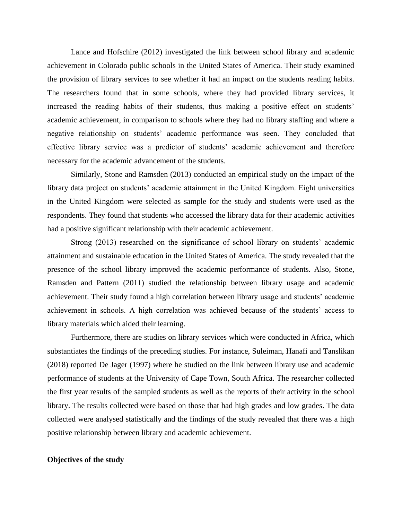Lance and Hofschire (2012) investigated the link between school library and academic achievement in Colorado public schools in the United States of America. Their study examined the provision of library services to see whether it had an impact on the students reading habits. The researchers found that in some schools, where they had provided library services, it increased the reading habits of their students, thus making a positive effect on students' academic achievement, in comparison to schools where they had no library staffing and where a negative relationship on students' academic performance was seen. They concluded that effective library service was a predictor of students' academic achievement and therefore necessary for the academic advancement of the students.

Similarly, Stone and Ramsden (2013) conducted an empirical study on the impact of the library data project on students' academic attainment in the United Kingdom. Eight universities in the United Kingdom were selected as sample for the study and students were used as the respondents. They found that students who accessed the library data for their academic activities had a positive significant relationship with their academic achievement.

Strong (2013) researched on the significance of school library on students' academic attainment and sustainable education in the United States of America. The study revealed that the presence of the school library improved the academic performance of students. Also, Stone, Ramsden and Pattern (2011) studied the relationship between library usage and academic achievement. Their study found a high correlation between library usage and students' academic achievement in schools. A high correlation was achieved because of the students' access to library materials which aided their learning.

Furthermore, there are studies on library services which were conducted in Africa, which substantiates the findings of the preceding studies. For instance, Suleiman, Hanafi and Tanslikan (2018) reported De Jager (1997) where he studied on the link between library use and academic performance of students at the University of Cape Town, South Africa. The researcher collected the first year results of the sampled students as well as the reports of their activity in the school library. The results collected were based on those that had high grades and low grades. The data collected were analysed statistically and the findings of the study revealed that there was a high positive relationship between library and academic achievement.

#### **Objectives of the study**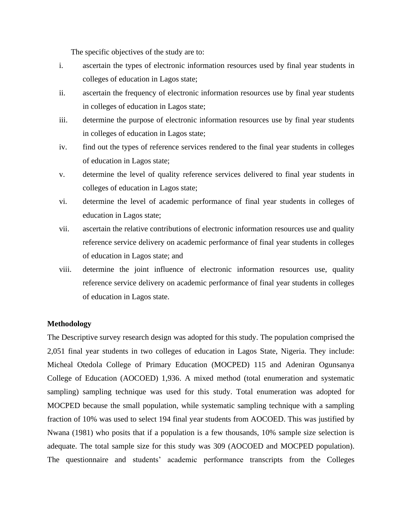The specific objectives of the study are to:

- i. ascertain the types of electronic information resources used by final year students in colleges of education in Lagos state;
- ii. ascertain the frequency of electronic information resources use by final year students in colleges of education in Lagos state;
- iii. determine the purpose of electronic information resources use by final year students in colleges of education in Lagos state;
- iv. find out the types of reference services rendered to the final year students in colleges of education in Lagos state;
- v. determine the level of quality reference services delivered to final year students in colleges of education in Lagos state;
- vi. determine the level of academic performance of final year students in colleges of education in Lagos state;
- vii. ascertain the relative contributions of electronic information resources use and quality reference service delivery on academic performance of final year students in colleges of education in Lagos state; and
- viii. determine the joint influence of electronic information resources use, quality reference service delivery on academic performance of final year students in colleges of education in Lagos state.

#### **Methodology**

The Descriptive survey research design was adopted for this study. The population comprised the 2,051 final year students in two colleges of education in Lagos State, Nigeria. They include: Micheal Otedola College of Primary Education (MOCPED) 115 and Adeniran Ogunsanya College of Education (AOCOED) 1,936. A mixed method (total enumeration and systematic sampling) sampling technique was used for this study. Total enumeration was adopted for MOCPED because the small population, while systematic sampling technique with a sampling fraction of 10% was used to select 194 final year students from AOCOED. This was justified by Nwana (1981) who posits that if a population is a few thousands, 10% sample size selection is adequate. The total sample size for this study was 309 (AOCOED and MOCPED population). The questionnaire and students' academic performance transcripts from the Colleges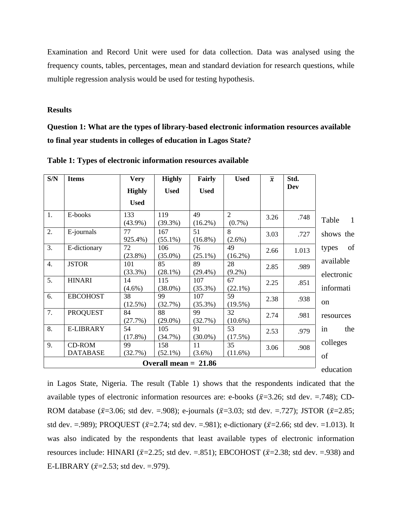Examination and Record Unit were used for data collection. Data was analysed using the frequency counts, tables, percentages, mean and standard deviation for research questions, while multiple regression analysis would be used for testing hypothesis.

#### **Results**

**Question 1: What are the types of library-based electronic information resources available to final year students in colleges of education in Lagos State?**

| S/N              | <b>Items</b>                     | <b>Very</b>       | <b>Highly</b>          | Fairly            | <b>Used</b>                 | $\overline{x}$ | Std.  |                         |
|------------------|----------------------------------|-------------------|------------------------|-------------------|-----------------------------|----------------|-------|-------------------------|
|                  |                                  | <b>Highly</b>     | <b>Used</b>            | <b>Used</b>       |                             |                | Dev   |                         |
|                  |                                  | <b>Used</b>       |                        |                   |                             |                |       |                         |
| 1.               | E-books                          | 133<br>$(43.9\%)$ | 119<br>$(39.3\%)$      | 49<br>$(16.2\%)$  | $\overline{2}$<br>$(0.7\%)$ | 3.26           | .748  | Table<br>$\mathbf{1}$   |
| 2.               | E-journals                       | 77<br>925.4%)     | 167<br>$(55.1\%)$      | 51<br>$(16.8\%)$  | 8<br>$(2.6\%)$              | 3.03           | .727  | shows the               |
| $\overline{3}$ . | E-dictionary                     | 72<br>$(23.8\%)$  | 106<br>$(35.0\%)$      | 76<br>$(25.1\%)$  | 49<br>$(16.2\%)$            | 2.66           | 1.013 | of<br>types             |
| $\overline{4}$ . | <b>JSTOR</b>                     | 101<br>$(33.3\%)$ | 85<br>$(28.1\%)$       | 89<br>$(29.4\%)$  | 28<br>$(9.2\%)$             | 2.85           | .989  | available<br>electronic |
| 5.               | <b>HINARI</b>                    | 14<br>$(4.6\%)$   | 115<br>$(38.0\%)$      | 107<br>$(35.3\%)$ | 67<br>$(22.1\%)$            | 2.25           | .851  | informati               |
| 6.               | <b>EBCOHOST</b>                  | 38<br>$(12.5\%)$  | 99<br>(32.7%)          | 107<br>$(35.3\%)$ | 59<br>$(19.5\%)$            | 2.38           | .938  | <sub>on</sub>           |
| 7.               | <b>PROQUEST</b>                  | 84<br>(27.7%)     | 88<br>$(29.0\%)$       | 99<br>(32.7%)     | 32<br>$(10.6\%)$            | 2.74           | .981  | resources               |
| 8.               | <b>E-LIBRARY</b>                 | 54<br>$(17.8\%)$  | 105<br>$(34.7\%)$      | 91<br>$(30.0\%)$  | 53<br>$(17.5\%)$            | 2.53           | .979  | in<br>the               |
| 9.               | <b>CD-ROM</b><br><b>DATABASE</b> | 99<br>(32.7%)     | 158<br>$(52.1\%)$      | 11<br>$(3.6\%)$   | 35<br>$(11.6\%)$            | 3.06           | .908  | colleges<br>of          |
|                  |                                  |                   | Overall mean $= 21.86$ |                   |                             |                |       | education               |

**Table 1: Types of electronic information resources available** 

in Lagos State, Nigeria. The result (Table 1) shows that the respondents indicated that the available types of electronic information resources are: e-books  $(\bar{x}=3.26;$  std dev. =.748); CD-ROM database ( $\bar{x}$ =3.06; std dev. =.908); e-journals ( $\bar{x}$ =3.03; std dev. =.727); JSTOR ( $\bar{x}$ =2.85; std dev. =.989); PROQUEST ( $\bar{x}$ =2.74; std dev. =.981); e-dictionary ( $\bar{x}$ =2.66; std dev. =1.013). It was also indicated by the respondents that least available types of electronic information resources include: HINARI ( $\bar{x}$ =2.25; std dev. =.851); EBCOHOST ( $\bar{x}$ =2.38; std dev. =.938) and E-LIBRARY ( $\bar{x}$ =2.53; std dev. =.979).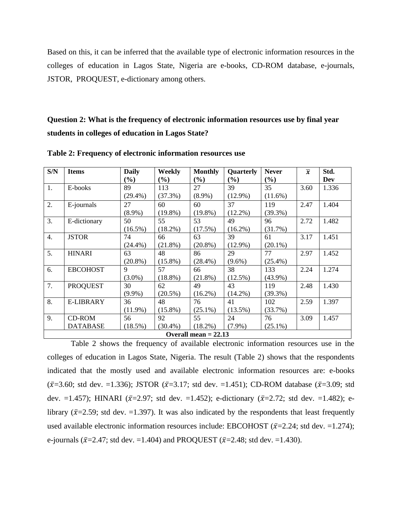Based on this, it can be inferred that the available type of electronic information resources in the colleges of education in Lagos State, Nigeria are e-books, CD-ROM database, e-journals, JSTOR, PROQUEST, e-dictionary among others.

## **Question 2: What is the frequency of electronic information resources use by final year students in colleges of education in Lagos State?**

| S/N              | <b>Items</b>    | <b>Daily</b> | <b>Weekly</b> | <b>Monthly</b>         | Quarterly                    | <b>Never</b> | $\overline{x}$ | Std.  |
|------------------|-----------------|--------------|---------------|------------------------|------------------------------|--------------|----------------|-------|
|                  |                 | (%)          | $(\%)$        | (%)                    | $\left( \frac{0}{0} \right)$ | (%)          |                | Dev   |
| 1.               | E-books         | 89           | 113           | 27                     | 39                           | 35           | 3.60           | 1.336 |
|                  |                 | $(29.4\%)$   | (37.3%)       | $(8.9\%)$              | $(12.9\%)$                   | $(11.6\%)$   |                |       |
| 2.               | E-journals      | 27           | 60            | 60                     | 37                           | 119          | 2.47           | 1.404 |
|                  |                 | $(8.9\%)$    | $(19.8\%)$    | $(19.8\%)$             | $(12.2\%)$                   | $(39.3\%)$   |                |       |
| 3.               | E-dictionary    | 50           | 55            | 53                     | 49                           | 96           | 2.72           | 1.482 |
|                  |                 | $(16.5\%)$   | $(18.2\%)$    | (17.5%)                | $(16.2\%)$                   | (31.7%)      |                |       |
| $\overline{4}$ . | <b>JSTOR</b>    | 74           | 66            | 63                     | 39                           | 61           | 3.17           | 1.451 |
|                  |                 | $(24.4\%)$   | $(21.8\%)$    | $(20.8\%)$             | $(12.9\%)$                   | $(20.1\%)$   |                |       |
| 5.               | <b>HINARI</b>   | 63           | 48            | 86                     | 29                           | 77           | 2.97           | 1.452 |
|                  |                 | $(20.8\%)$   | $(15.8\%)$    | $(28.4\%)$             | $(9.6\%)$                    | $(25.4\%)$   |                |       |
| 6.               | <b>EBCOHOST</b> | 9            | 57            | 66                     | 38                           | 133          | 2.24           | 1.274 |
|                  |                 | $(3.0\%)$    | $(18.8\%)$    | $(21.8\%)$             | $(12.5\%)$                   | $(43.9\%)$   |                |       |
| 7.               | <b>PROQUEST</b> | 30           | 62            | 49                     | 43                           | 119          | 2.48           | 1.430 |
|                  |                 | $(9.9\%)$    | $(20.5\%)$    | $(16.2\%)$             | $(14.2\%)$                   | $(39.3\%)$   |                |       |
| 8.               | E-LIBRARY       | 36           | 48            | 76                     | 41                           | 102          | 2.59           | 1.397 |
|                  |                 | $(11.9\%)$   | $(15.8\%)$    | $(25.1\%)$             | $(13.5\%)$                   | $(33.7\%)$   |                |       |
| 9.               | <b>CD-ROM</b>   | 56           | 92            | 55                     | 24                           | 76           | 3.09           | 1.457 |
|                  | <b>DATABASE</b> | $(18.5\%)$   | $(30.4\%)$    | $(18.2\%)$             | $(7.9\%)$                    | $(25.1\%)$   |                |       |
|                  |                 |              |               | Overall mean $= 22.13$ |                              |              |                |       |

**Table 2: Frequency of electronic information resources use**

Table 2 shows the frequency of available electronic information resources use in the colleges of education in Lagos State, Nigeria. The result (Table 2) shows that the respondents indicated that the mostly used and available electronic information resources are: e-books  $(\bar{x}=3.60; \text{ std dev.} = 1.336); JSTOR (\bar{x}=3.17; \text{ std dev.} = 1.451); CD-ROM database (\bar{x}=3.09; \text{ std})$ dev. =1.457); HINARI ( $\bar{x}$ =2.97; std dev. =1.452); e-dictionary ( $\bar{x}$ =2.72; std dev. =1.482); elibrary ( $\bar{x}$ =2.59; std dev. =1.397). It was also indicated by the respondents that least frequently used available electronic information resources include: EBCOHOST ( $\bar{x}$ =2.24; std dev. =1.274); e-journals ( $\bar{x}$ =2.47; std dev. =1.404) and PROQUEST ( $\bar{x}$ =2.48; std dev. =1.430).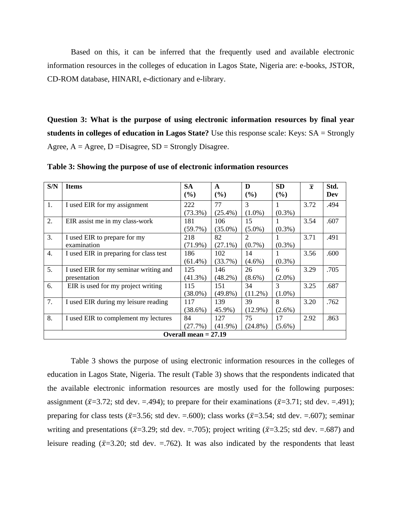Based on this, it can be inferred that the frequently used and available electronic information resources in the colleges of education in Lagos State, Nigeria are: e-books, JSTOR, CD-ROM database, HINARI, e-dictionary and e-library.

**Question 3: What is the purpose of using electronic information resources by final year students in colleges of education in Lagos State?** Use this response scale: Keys: SA = Strongly Agree,  $A = \text{Agree}, D = \text{Disagree}, SD = \text{Strongly Disagree}.$ 

| S/N | <b>Items</b>                           | <b>SA</b>              | $\mathbf{A}$ | D          | <b>SD</b> | $\overline{x}$ | Std. |
|-----|----------------------------------------|------------------------|--------------|------------|-----------|----------------|------|
|     |                                        | (%)                    | (%)          | (%)        | (%)       |                | Dev  |
| 1.  | I used EIR for my assignment           | 222                    | 77           | 3          |           | 3.72           | .494 |
|     |                                        | $(73.3\%)$             | $(25.4\%)$   | $(1.0\%)$  | $(0.3\%)$ |                |      |
| 2.  | EIR assist me in my class-work         | 181                    | 106          | 15         |           | 3.54           | .607 |
|     |                                        | $(59.7\%)$             | $(35.0\%)$   | $(5.0\%)$  | $(0.3\%)$ |                |      |
| 3.  | I used EIR to prepare for my           | 218                    | 82           | 2          |           | 3.71           | .491 |
|     | examination                            | $(71.9\%)$             | $(27.1\%)$   | $(0.7\%)$  | $(0.3\%)$ |                |      |
| 4.  | I used EIR in preparing for class test | 186                    | 102          | 14         |           | 3.56           | .600 |
|     |                                        | $(61.4\%)$             | (33.7%)      | $(4.6\%)$  | $(0.3\%)$ |                |      |
| 5.  | I used EIR for my seminar writing and  | 125                    | 146          | 26         | 6         | 3.29           | .705 |
|     | presentation                           | $(41.3\%)$             | $(48.2\%)$   | $(8.6\%)$  | $(2.0\%)$ |                |      |
| 6.  | EIR is used for my project writing     | 115                    | 151          | 34         | 3         | 3.25           | .687 |
|     |                                        | $(38.0\%)$             | $(49.8\%)$   | $(11.2\%)$ | $(1.0\%)$ |                |      |
| 7.  | I used EIR during my leisure reading   | 117                    | 139          | 39         | 8         | 3.20           | .762 |
|     |                                        | (38.6%)                | 45.9%)       | $(12.9\%)$ | $(2.6\%)$ |                |      |
| 8.  | I used EIR to complement my lectures   | 84                     | 127          | 75         | 17        | 2.92           | .863 |
|     |                                        | (27.7%)                | $(41.9\%)$   | $(24.8\%)$ | $(5.6\%)$ |                |      |
|     |                                        | Overall mean $= 27.19$ |              |            |           |                |      |

**Table 3: Showing the purpose of use of electronic information resources** 

Table 3 shows the purpose of using electronic information resources in the colleges of education in Lagos State, Nigeria. The result (Table 3) shows that the respondents indicated that the available electronic information resources are mostly used for the following purposes: assignment ( $\bar{x}$ =3.72; std dev. =.494); to prepare for their examinations ( $\bar{x}$ =3.71; std dev. =.491); preparing for class tests ( $\bar{x}$ =3.56; std dev. =.600); class works ( $\bar{x}$ =3.54; std dev. =.607); seminar writing and presentations ( $\bar{x}$ =3.29; std dev. =.705); project writing ( $\bar{x}$ =3.25; std dev. =.687) and leisure reading ( $\bar{x}$ =3.20; std dev. =.762). It was also indicated by the respondents that least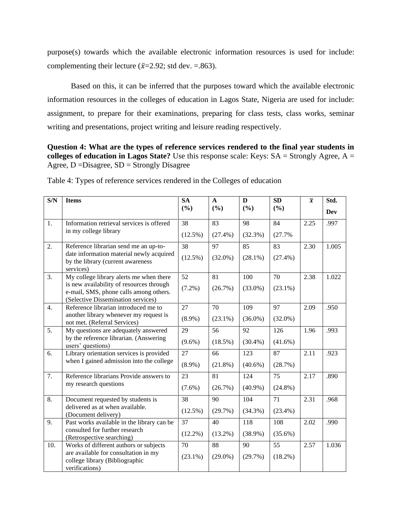purpose(s) towards which the available electronic information resources is used for include: complementing their lecture ( $\bar{x}$ =2.92; std dev. =.863).

Based on this, it can be inferred that the purposes toward which the available electronic information resources in the colleges of education in Lagos State, Nigeria are used for include: assignment, to prepare for their examinations, preparing for class tests, class works, seminar writing and presentations, project writing and leisure reading respectively.

**Question 4: What are the types of reference services rendered to the final year students in colleges of education in Lagos State?** Use this response scale: Keys: SA = Strongly Agree, A = Agree, D =Disagree, SD = Strongly Disagree

| S/N              | <b>Items</b>                                                                                                             | <b>SA</b>  | $\mathbf{A}$ | D          | SD         | $\overline{x}$ | Std.  |
|------------------|--------------------------------------------------------------------------------------------------------------------------|------------|--------------|------------|------------|----------------|-------|
|                  |                                                                                                                          | (%)        | (%)          | (%)        | (%)        |                | Dev   |
| 1.               | Information retrieval services is offered                                                                                | 38         | 83           | 98         | 84         | 2.25           | .997  |
|                  | in my college library                                                                                                    | $(12.5\%)$ | $(27.4\%)$   | (32.3%)    | (27.7%     |                |       |
| $\overline{2}$ . | Reference librarian send me an up-to-                                                                                    | 38         | 97           | 85         | 83         | 2.30           | 1.005 |
|                  | date information material newly acquired<br>by the library (current awareness<br>services)                               | $(12.5\%)$ | $(32.0\%)$   | $(28.1\%)$ | $(27.4\%)$ |                |       |
| 3.               | My college library alerts me when there                                                                                  | 52         | 81           | 100        | 70         | 2.38           | 1.022 |
|                  | is new availability of resources through<br>e-mail, SMS, phone calls among others.<br>(Selective Dissemination services) | $(7.2\%)$  | (26.7%)      | $(33.0\%)$ | $(23.1\%)$ |                |       |
| 4.               | Reference librarian introduced me to                                                                                     | 27         | 70           | 109        | 97         | 2.09           | .950  |
|                  | another library whenever my request is<br>not met. (Referral Services)                                                   | $(8.9\%)$  | $(23.1\%)$   | $(36.0\%)$ | $(32.0\%)$ |                |       |
| 5.               | My questions are adequately answered                                                                                     | 29         | 56           | 92         | 126        | 1.96           | .993  |
|                  | by the reference librarian. (Answering<br>users' questions)                                                              | $(9.6\%)$  | (18.5%)      | $(30.4\%)$ | $(41.6\%)$ |                |       |
| 6.               | Library orientation services is provided                                                                                 | 27         | 66           | 123        | 87         | 2.11           | .923  |
|                  | when I gained admission into the college                                                                                 | $(8.9\%)$  | $(21.8\%)$   | $(40.6\%)$ | (28.7%)    |                |       |
| $\overline{7}$ . | Reference librarians Provide answers to                                                                                  | 23         | 81           | 124        | 75         | 2.17           | .890  |
|                  | my research questions                                                                                                    | $(7.6\%)$  | (26.7%)      | $(40.9\%)$ | $(24.8\%)$ |                |       |
| 8.               | Document requested by students is                                                                                        | 38         | 90           | 104        | 71         | 2.31           | .968  |
|                  | delivered as at when available.<br>(Document delivery)                                                                   | $(12.5\%)$ | (29.7%)      | $(34.3\%)$ | $(23.4\%)$ |                |       |
| 9.               | Past works available in the library can be                                                                               | 37         | 40           | 118        | 108        | 2.02           | .990  |
|                  | consulted for further research<br>(Retrospective searching)                                                              | $(12.2\%)$ | $(13.2\%)$   | $(38.9\%)$ | $(35.6\%)$ |                |       |
| 10.              | Works of different authors or subjects                                                                                   | 70         | 88           | 90         | 55         | 2.57           | 1.036 |
|                  | are available for consultation in my<br>college library (Bibliographic<br>verifications)                                 | $(23.1\%)$ | $(29.0\%)$   | (29.7%)    | (18.2%)    |                |       |

Table 4: Types of reference services rendered in the Colleges of education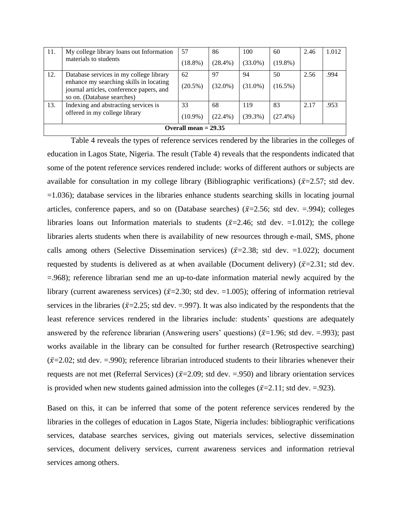| 11. | My college library loans out Information<br>materials to students                                                 | 57         | 86         | 100        | 60         | 2.46 | 1.012 |  |  |  |  |
|-----|-------------------------------------------------------------------------------------------------------------------|------------|------------|------------|------------|------|-------|--|--|--|--|
|     |                                                                                                                   | $(18.8\%)$ | $(28.4\%)$ | $(33.0\%)$ | $(19.8\%)$ |      |       |  |  |  |  |
| 12. | Database services in my college library                                                                           | 62         | 97         | 94         | 50         | 2.56 | .994  |  |  |  |  |
|     | enhance my searching skills in locating<br>journal articles, conference papers, and<br>so on. (Database searches) | $(20.5\%)$ | $(32.0\%)$ | $(31.0\%)$ | $(16.5\%)$ |      |       |  |  |  |  |
| 13. | Indexing and abstracting services is                                                                              | 33         | 68         | 119        | 83         | 2.17 | .953  |  |  |  |  |
|     | offered in my college library                                                                                     | $(10.9\%)$ | $(22.4\%)$ | $(39.3\%)$ | $(27.4\%)$ |      |       |  |  |  |  |
|     | Overall mean $= 29.35$                                                                                            |            |            |            |            |      |       |  |  |  |  |

Table 4 reveals the types of reference services rendered by the libraries in the colleges of education in Lagos State, Nigeria. The result (Table 4) reveals that the respondents indicated that some of the potent reference services rendered include: works of different authors or subjects are available for consultation in my college library (Bibliographic verifications) ( $\bar{x}$ =2.57; std dev. =1.036); database services in the libraries enhance students searching skills in locating journal articles, conference papers, and so on (Database searches) ( $\bar{x}$ =2.56; std dev. =.994); colleges libraries loans out Information materials to students ( $\bar{x}$ =2.46; std dev. =1.012); the college libraries alerts students when there is availability of new resources through e-mail, SMS, phone calls among others (Selective Dissemination services) ( $\bar{x}$ =2.38; std dev. =1.022); document requested by students is delivered as at when available (Document delivery) ( $\bar{x}$ =2.31; std dev. =.968); reference librarian send me an up-to-date information material newly acquired by the library (current awareness services) ( $\bar{x}$ =2.30; std dev. =1.005); offering of information retrieval services in the libraries ( $\bar{x}$ =2.25; std dev. =.997). It was also indicated by the respondents that the least reference services rendered in the libraries include: students' questions are adequately answered by the reference librarian (Answering users' questions) ( $\bar{x}$ =1.96; std dev. =.993); past works available in the library can be consulted for further research (Retrospective searching)  $({\bar \chi}=2.02;$  std dev. = 990); reference librarian introduced students to their libraries whenever their requests are not met (Referral Services) ( $\bar{x}$ =2.09; std dev. =.950) and library orientation services is provided when new students gained admission into the colleges ( $\bar{x}=2.11$ ; std dev. = 923).

Based on this, it can be inferred that some of the potent reference services rendered by the libraries in the colleges of education in Lagos State, Nigeria includes: bibliographic verifications services, database searches services, giving out materials services, selective dissemination services, document delivery services, current awareness services and information retrieval services among others.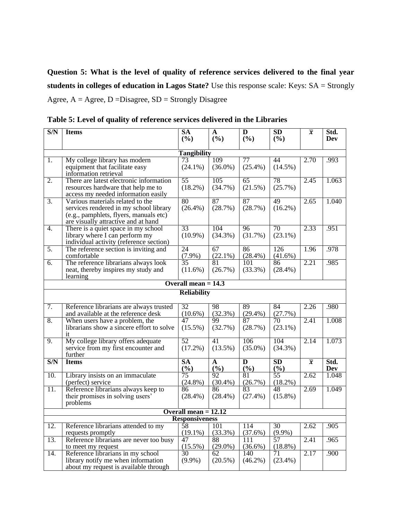**Question 5: What is the level of quality of reference services delivered to the final year students in colleges of education in Lagos State?** Use this response scale: Keys: SA = Strongly Agree,  $A = \text{Agree}, D = \text{Disagree}, SD = \text{Strongly Disagree}$ 

| S/N              | <b>Items</b>                                                              | <b>SA</b>              | A                 | D          | SD              | $\overline{x}$ | Std.  |
|------------------|---------------------------------------------------------------------------|------------------------|-------------------|------------|-----------------|----------------|-------|
|                  |                                                                           | (%)                    | (%)               | (%)        | (%)             |                | Dev   |
|                  |                                                                           | <b>Tangibility</b>     |                   |            |                 |                |       |
| 1.               | My college library has modern                                             | 73                     | 109               | 77         | 44              | 2.70           | .993  |
|                  | equipment that facilitate easy                                            | $(24.1\%)$             | $(36.0\%)$        | $(25.4\%)$ | $(14.5\%)$      |                |       |
|                  | information retrieval                                                     |                        |                   |            |                 |                |       |
| $\overline{2}$ . | There are latest electronic information                                   | $\overline{55}$        | 105               | 65         | 78              | 2.45           | 1.063 |
|                  | resources hardware that help me to                                        | $(18.2\%)$             | (34.7%)           | (21.5%)    | (25.7%)         |                |       |
|                  | access my needed information easily                                       |                        |                   |            |                 |                |       |
| $\overline{3}$ . | Various materials related to the                                          | 80                     | 87                | 87         | 49              | 2.65           | 1.040 |
|                  | services rendered in my school library                                    | $(26.4\%)$             | (28.7%)           | (28.7%)    | $(16.2\%)$      |                |       |
|                  | (e.g., pamphlets, flyers, manuals etc)                                    |                        |                   |            |                 |                |       |
|                  | are visually attractive and at hand                                       |                        |                   |            | 70              |                |       |
| $\overline{4}$ . | There is a quiet space in my school                                       | 33                     | 104               | 96         |                 | 2.33           | .951  |
|                  | library where I can perform my<br>individual activity (reference section) | $(10.9\%)$             | $(34.3\%)$        | (31.7%)    | $(23.1\%)$      |                |       |
| $\overline{5}$ . | The reference section is inviting and                                     | 24                     | 67                | 86         | 126             | 1.96           | .978  |
|                  | comfortable                                                               | $(7.9\%)$              | $(22.1\%)$        | $(28.4\%)$ | $(41.6\%)$      |                |       |
| $\overline{6}$ . | The reference librarians always look                                      | $\overline{35}$        | $\overline{81}$   | 101        | 86              | 2.21           | .985  |
|                  | neat, thereby inspires my study and                                       | $(11.6\%)$             | (26.7%)           | $(33.3\%)$ | $(28.4\%)$      |                |       |
|                  | learning                                                                  |                        |                   |            |                 |                |       |
|                  |                                                                           | Overall mean $= 14.3$  |                   |            |                 |                |       |
|                  |                                                                           | <b>Reliability</b>     |                   |            |                 |                |       |
|                  |                                                                           |                        |                   |            |                 |                |       |
| 7.               | Reference librarians are always trusted                                   | 32                     | 98                | 89         | 84              | 2.26           | .980  |
|                  | and available at the reference desk                                       | $(10.6\%)$             | (32.3%)           | (29.4%)    | (27.7%)         |                |       |
| 8.               | When users have a problem, the                                            | 47                     | 99                | 87         | 70              | 2.41           | 1.008 |
|                  | librarians show a sincere effort to solve                                 | $(15.5\%)$             | (32.7%)           | (28.7%)    | $(23.1\%)$      |                |       |
| 9.               | it<br>My college library offers adequate                                  | 52                     | 41                | 106        | 104             | 2.14           | 1.073 |
|                  | service from my first encounter and                                       | $(17.2\%)$             | $(13.5\%)$        | $(35.0\%)$ | $(34.3\%)$      |                |       |
|                  | further                                                                   |                        |                   |            |                 |                |       |
| S/N              | <b>Items</b>                                                              | <b>SA</b>              | A                 | D          | <b>SD</b>       | $\overline{x}$ | Std.  |
|                  |                                                                           | (%)                    | (%)               | (%)        | (%)             |                | Dev   |
| 10.              | Library insists on an immaculate                                          | 75                     | 92                | 81         | 55              | 2.62           | 1.048 |
|                  | (perfect) service                                                         | $(24.8\%)$             | $(30.4\%)$        | (26.7%)    | (18.2%)         |                |       |
| 11.              | Reference librarians always keep to                                       | 86                     | 86                | 83         | 48              | 2.69           | 1.049 |
|                  | their promises in solving users'                                          | $(28.4\%)$             | $(28.4\%)$        | $(27.4\%)$ | $(15.8\%)$      |                |       |
|                  | problems                                                                  |                        |                   |            |                 |                |       |
|                  |                                                                           | Overall mean $= 12.12$ |                   |            |                 |                |       |
| 12.              |                                                                           | <b>Responsiveness</b>  |                   | 114        |                 | 2.62           | .905  |
|                  | Reference librarians attended to my<br>requests promptly                  | 58<br>$(19.1\%)$       | 101<br>$(33.3\%)$ | $(37.6\%)$ | 30<br>$(9.9\%)$ |                |       |
| 13.              | Reference librarians are never too busy                                   | 47                     | 88                | 111        | 57              | 2.41           | .965  |
|                  | to meet my request                                                        | $(15.5\%)$             | $(29.0\%)$        | $(36.6\%)$ | $(18.8\%)$      |                |       |
| 14.              | Reference librarians in my school                                         | 30                     | 62                | 140        | 71              | 2.17           | .900  |
|                  | library notify me when information                                        | $(9.9\%)$              | $(20.5\%)$        | $(46.2\%)$ | $(23.4\%)$      |                |       |
|                  | about my request is available through                                     |                        |                   |            |                 |                |       |

**Table 5: Level of quality of reference services delivered in the Libraries**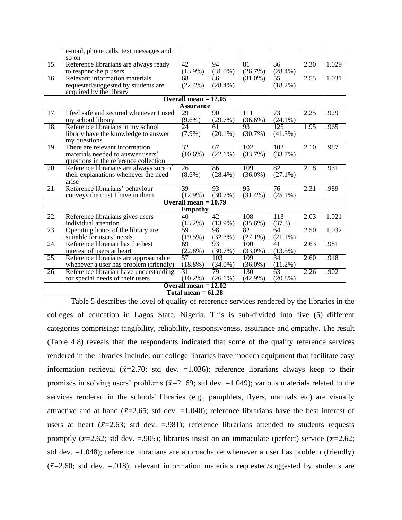|                   | e-mail, phone calls, text messages and                                           |                            |                  |                   |                               |                   |       |
|-------------------|----------------------------------------------------------------------------------|----------------------------|------------------|-------------------|-------------------------------|-------------------|-------|
|                   | so on                                                                            |                            |                  |                   |                               |                   |       |
| $\overline{15}$ . | Reference librarians are always ready                                            | 42                         | 94               | 81                | 86                            | 2.30              | 1.029 |
|                   | to respond/help users                                                            | $(13.9\%)$<br>68           | $(31.0\%)$       | (26.7%)           | $(28.4\%)$<br>$\overline{55}$ | 2.55              |       |
| $\overline{16}$ . | Relevant information materials                                                   |                            | 86               | $(31.0\%)$        |                               |                   | 1.031 |
|                   | requested/suggested by students are                                              | $(22.4\%)$                 | $(28.4\%)$       |                   | (18.2%)                       |                   |       |
|                   | acquired by the library                                                          | Overall mean $= 12.05$     |                  |                   |                               |                   |       |
|                   |                                                                                  | <b>Assurance</b>           |                  |                   |                               |                   |       |
| 17.               | I feel safe and secured whenever I used                                          | 29                         | $\overline{90}$  | 111               | 73                            | 2.25              | .929  |
|                   | my school library                                                                | $(9.6\%)$                  | (29.7%)          | $(36.6\%)$        | $(24.1\%)$                    |                   |       |
| 18.               | Reference librarians in my school                                                | $\overline{24}$            | 61               | 93                | 125                           | 1.95              | .965  |
|                   | library have the knowledge to answer                                             | $(7.9\%)$                  | $(20.1\%)$       | $(30.7\%)$        | $(41.3\%)$                    |                   |       |
|                   | my questions                                                                     |                            |                  |                   |                               |                   |       |
| 19.               | There are relevant information                                                   | 32                         | 67               | 102               | 102                           | 2.10              | .987  |
|                   | materials needed to answer users'                                                | $(10.6\%)$                 | $(22.1\%)$       | $(33.7\%)$        | (33.7%)                       |                   |       |
|                   | questions in the reference collection                                            |                            |                  |                   |                               |                   |       |
| $\overline{20}$ . | Reference librarians are always sure of                                          | $\overline{26}$            | 86               | 109               | 82                            | 2.18              | .931  |
|                   | their explanations whenever the need                                             | $(8.6\%)$                  | $(28.4\%)$       | $(36.0\%)$        | $(27.1\%)$                    |                   |       |
|                   | arise                                                                            |                            |                  |                   |                               |                   |       |
| 21.               | Reference librarians' behaviour                                                  | 39                         | 93               | $\overline{95}$   | 76                            | 2.31              | .989  |
|                   | conveys the trust I have in them                                                 | $(12.9\%)$                 | $(30.7\%)$       | $(31.4\%)$        | $(25.1\%)$                    |                   |       |
|                   |                                                                                  | Overall mean $= 10.79$     |                  |                   |                               |                   |       |
|                   |                                                                                  | <b>Empathy</b>             |                  |                   |                               |                   |       |
| 22.               | Reference librarians gives users                                                 | 40                         | 42               | 108               | 113                           | 2.03              | 1.021 |
|                   | individual attention                                                             | $(13.2\%)$                 | $(13.9\%)$       | $(35.6\%)$        | (37.3)                        |                   |       |
| 23.               | Operating hours of the library are                                               | 59                         | 98               | 82                | 64                            | 2.50              | 1.032 |
|                   | suitable for users' needs                                                        | $(19.5\%)$                 | $(32.3\%)$       | $(27.1\%)$        | $(21.1\%)$                    |                   |       |
| 24.               | Reference librarian has the best                                                 | 69                         | 93               | 100               | 41                            | 2.63              | .981  |
|                   | interest of users at heart                                                       | (22.8%)<br>$\overline{57}$ | (30.7%)          | $(33.0\%)$        | $(13.5\%)$<br>34              |                   |       |
| $\overline{25}$ . | Reference librarians are approachable                                            |                            | 103              | 109               |                               | $\overline{2.60}$ | .918  |
| 26.               | whenever a user has problem (friendly)<br>Reference librarian have understanding | $(18.8\%)$<br>31           | $(34.0\%)$<br>79 | $(36.0\%)$<br>130 | (11.2%)<br>63                 | 2.26              | .902  |
|                   | for special needs of their users                                                 | $(10.2\%)$                 | $(26.1\%)$       | $(42.9\%)$        | $(20.8\%)$                    |                   |       |
|                   |                                                                                  | Overall mean $= 12.02$     |                  |                   |                               |                   |       |
|                   |                                                                                  | Total mean $= 61.28$       |                  |                   |                               |                   |       |
|                   |                                                                                  |                            |                  |                   |                               |                   |       |

Table 5 describes the level of quality of reference services rendered by the libraries in the colleges of education in Lagos State, Nigeria. This is sub-divided into five (5) different categories comprising: tangibility, reliability, responsiveness, assurance and empathy. The result (Table 4.8) reveals that the respondents indicated that some of the quality reference services rendered in the libraries include: our college libraries have modern equipment that facilitate easy information retrieval ( $\bar{x}$ =2.70; std dev. =1.036); reference librarians always keep to their promises in solving users' problems ( $\bar{x}$ =2. 69; std dev. =1.049); various materials related to the services rendered in the schools' libraries (e.g., pamphlets, flyers, manuals etc) are visually attractive and at hand ( $\bar{x}$ =2.65; std dev. =1.040); reference librarians have the best interest of users at heart ( $\bar{x}$ =2.63; std dev. =.981); reference librarians attended to students requests promptly ( $\bar{x}$ =2.62; std dev. =.905); libraries insist on an immaculate (perfect) service ( $\bar{x}$ =2.62; std dev. =1.048); reference librarians are approachable whenever a user has problem (friendly)  $(\bar{x}=2.60;$  std dev. =.918); relevant information materials requested/suggested by students are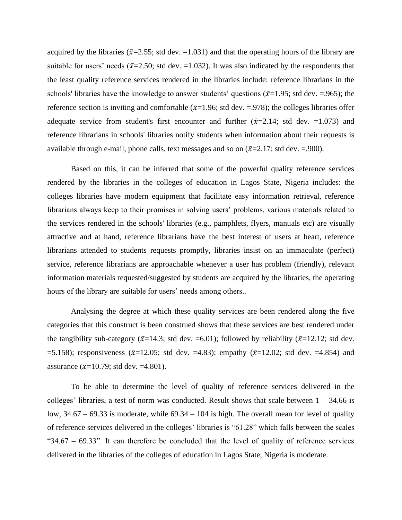acquired by the libraries ( $\bar{x}$ =2.55; std dev. =1.031) and that the operating hours of the library are suitable for users' needs ( $\bar{x}$ =2.50; std dev. =1.032). It was also indicated by the respondents that the least quality reference services rendered in the libraries include: reference librarians in the schools' libraries have the knowledge to answer students' questions ( $\bar{x}$ =1.95; std dev. =.965); the reference section is inviting and comfortable ( $\bar{x}$ =1.96; std dev. =.978); the colleges libraries offer adequate service from student's first encounter and further  $(\bar{x}=2.14$ ; std dev. =1.073) and reference librarians in schools' libraries notify students when information about their requests is available through e-mail, phone calls, text messages and so on  $(\bar{x}=2.17;$  std dev.  $=900$ ).

Based on this, it can be inferred that some of the powerful quality reference services rendered by the libraries in the colleges of education in Lagos State, Nigeria includes: the colleges libraries have modern equipment that facilitate easy information retrieval, reference librarians always keep to their promises in solving users' problems, various materials related to the services rendered in the schools' libraries (e.g., pamphlets, flyers, manuals etc) are visually attractive and at hand, reference librarians have the best interest of users at heart, reference librarians attended to students requests promptly, libraries insist on an immaculate (perfect) service, reference librarians are approachable whenever a user has problem (friendly), relevant information materials requested/suggested by students are acquired by the libraries, the operating hours of the library are suitable for users' needs among others..

Analysing the degree at which these quality services are been rendered along the five categories that this construct is been construed shows that these services are best rendered under the tangibility sub-category ( $\bar{x}$ =14.3; std dev. =6.01); followed by reliability ( $\bar{x}$ =12.12; std dev. =5.158); responsiveness ( $\bar{x}$ =12.05; std dev. =4.83); empathy ( $\bar{x}$ =12.02; std dev. =4.854) and assurance ( $\bar{x}$ =10.79; std dev. =4.801).

To be able to determine the level of quality of reference services delivered in the colleges' libraries, a test of norm was conducted. Result shows that scale between  $1 - 34.66$  is low, 34.67 – 69.33 is moderate, while 69.34 – 104 is high. The overall mean for level of quality of reference services delivered in the colleges' libraries is "61.28" which falls between the scales " $34.67 - 69.33$ ". It can therefore be concluded that the level of quality of reference services delivered in the libraries of the colleges of education in Lagos State, Nigeria is moderate.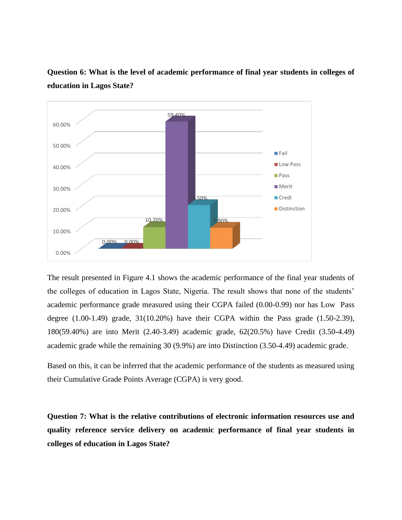

**Question 6: What is the level of academic performance of final year students in colleges of education in Lagos State?**

The result presented in Figure 4.1 shows the academic performance of the final year students of the colleges of education in Lagos State, Nigeria. The result shows that none of the students' academic performance grade measured using their CGPA failed (0.00-0.99) nor has Low Pass degree  $(1.00-1.49)$  grade,  $31(10.20\%)$  have their CGPA within the Pass grade  $(1.50-2.39)$ , 180(59.40%) are into Merit (2.40-3.49) academic grade, 62(20.5%) have Credit (3.50-4.49) academic grade while the remaining 30 (9.9%) are into Distinction (3.50-4.49) academic grade.

Based on this, it can be inferred that the academic performance of the students as measured using their Cumulative Grade Points Average (CGPA) is very good.

**Question 7: What is the relative contributions of electronic information resources use and quality reference service delivery on academic performance of final year students in colleges of education in Lagos State?**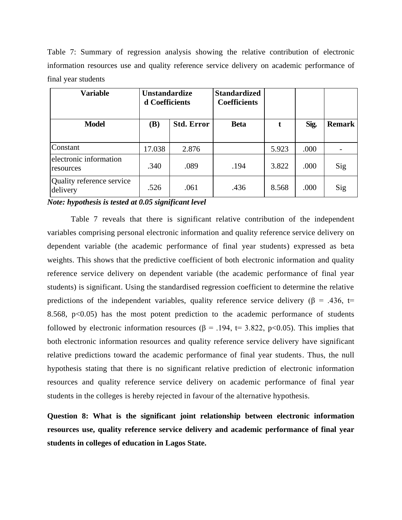Table 7: Summary of regression analysis showing the relative contribution of electronic information resources use and quality reference service delivery on academic performance of final year students

| <b>Variable</b>                       | <b>Unstandardize</b><br>d Coefficients |                   | <b>Standardized</b><br><b>Coefficients</b> |       |      |               |
|---------------------------------------|----------------------------------------|-------------------|--------------------------------------------|-------|------|---------------|
| <b>Model</b>                          | (B)                                    | <b>Std. Error</b> | <b>Beta</b>                                | t     | Sig. | <b>Remark</b> |
| Constant                              | 17.038                                 | 2.876             |                                            | 5.923 | .000 |               |
| electronic information<br>resources   | .340                                   | .089              | .194                                       | 3.822 | .000 | Sig           |
| Quality reference service<br>delivery | .526                                   | .061              | .436                                       | 8.568 | .000 | Sig           |

*Note: hypothesis is tested at 0.05 significant level*

Table 7 reveals that there is significant relative contribution of the independent variables comprising personal electronic information and quality reference service delivery on dependent variable (the academic performance of final year students) expressed as beta weights. This shows that the predictive coefficient of both electronic information and quality reference service delivery on dependent variable (the academic performance of final year students) is significant. Using the standardised regression coefficient to determine the relative predictions of the independent variables, quality reference service delivery ( $\beta$  = .436, t= 8.568,  $p<0.05$ ) has the most potent prediction to the academic performance of students followed by electronic information resources ( $\beta$  = .194, t= 3.822, p<0.05). This implies that both electronic information resources and quality reference service delivery have significant relative predictions toward the academic performance of final year students. Thus, the null hypothesis stating that there is no significant relative prediction of electronic information resources and quality reference service delivery on academic performance of final year students in the colleges is hereby rejected in favour of the alternative hypothesis.

**Question 8: What is the significant joint relationship between electronic information resources use, quality reference service delivery and academic performance of final year students in colleges of education in Lagos State.**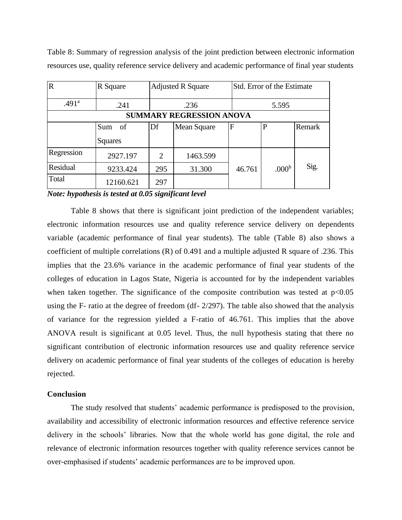Table 8: Summary of regression analysis of the joint prediction between electronic information resources use, quality reference service delivery and academic performance of final year students

| $\overline{\mathbf{R}}$         | R Square  |     | <b>Adjusted R Square</b> |        | Std. Error of the Estimate |        |  |  |  |  |  |
|---------------------------------|-----------|-----|--------------------------|--------|----------------------------|--------|--|--|--|--|--|
| .491 <sup>a</sup>               | .241      |     | .236<br>5.595            |        |                            |        |  |  |  |  |  |
| <b>SUMMARY REGRESSION ANOVA</b> |           |     |                          |        |                            |        |  |  |  |  |  |
|                                 | Sum<br>of | Df  | Mean Square              | F      | P                          | Remark |  |  |  |  |  |
|                                 | Squares   |     |                          |        |                            |        |  |  |  |  |  |
| Regression                      | 2927.197  | 2   | 1463.599                 |        |                            |        |  |  |  |  |  |
| Residual                        | 9233.424  | 295 | 31.300                   | 46.761 | .000 <sup>b</sup>          | Sig.   |  |  |  |  |  |
| Total                           | 12160.621 | 297 |                          |        |                            |        |  |  |  |  |  |

*Note: hypothesis is tested at 0.05 significant level*

Table 8 shows that there is significant joint prediction of the independent variables; electronic information resources use and quality reference service delivery on dependents variable (academic performance of final year students). The table (Table 8) also shows a coefficient of multiple correlations (R) of 0.491 and a multiple adjusted R square of .236. This implies that the 23.6% variance in the academic performance of final year students of the colleges of education in Lagos State, Nigeria is accounted for by the independent variables when taken together. The significance of the composite contribution was tested at  $p<0.05$ using the F- ratio at the degree of freedom (df- 2/297). The table also showed that the analysis of variance for the regression yielded a F-ratio of 46.761. This implies that the above ANOVA result is significant at 0.05 level. Thus, the null hypothesis stating that there no significant contribution of electronic information resources use and quality reference service delivery on academic performance of final year students of the colleges of education is hereby rejected.

#### **Conclusion**

The study resolved that students' academic performance is predisposed to the provision, availability and accessibility of electronic information resources and effective reference service delivery in the schools' libraries. Now that the whole world has gone digital, the role and relevance of electronic information resources together with quality reference services cannot be over-emphasised if students' academic performances are to be improved upon.